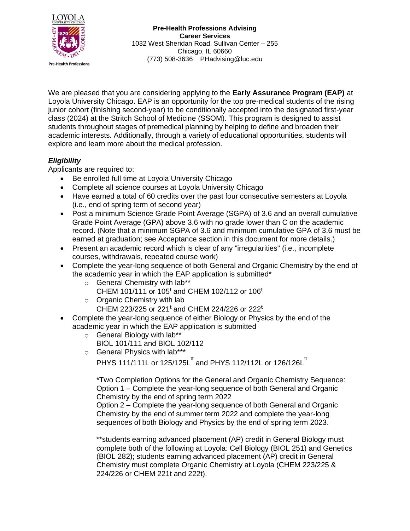

We are pleased that you are considering applying to the **Early Assurance Program (EAP)** at Loyola University Chicago. EAP is an opportunity for the top pre-medical students of the rising junior cohort (finishing second-year) to be conditionally accepted into the designated first-year class (2024) at the Stritch School of Medicine (SSOM). This program is designed to assist students throughout stages of premedical planning by helping to define and broaden their academic interests. Additionally, through a variety of educational opportunities, students will explore and learn more about the medical profession.

## *Eligibility*

Applicants are required to:

- Be enrolled full time at Loyola University Chicago
- Complete all science courses at Loyola University Chicago
- Have earned a total of 60 credits over the past four consecutive semesters at Loyola (i.e., end of spring term of second year)
- Post a minimum Science Grade Point Average (SGPA) of 3.6 and an overall cumulative Grade Point Average (GPA) above 3.6 with no grade lower than C on the academic record. (Note that a minimum SGPA of 3.6 and minimum cumulative GPA of 3.6 must be earned at graduation; see Acceptance section in this document for more details.)
- Present an academic record which is clear of any "irregularities" (i.e., incomplete courses, withdrawals, repeated course work)
- Complete the year-long sequence of both General and Organic Chemistry by the end of the academic year in which the EAP application is submitted\*
	- o General Chemistry with lab\*\*
		- CHEM 101/111 or 105<sup>t</sup> and CHEM 102/112 or 106<sup>t</sup>
	- o Organic Chemistry with lab CHEM 223/225 or 221<sup>t</sup> and CHEM 224/226 or 222<sup>t</sup>
- Complete the year-long sequence of either Biology or Physics by the end of the academic year in which the EAP application is submitted
	- o General Biology with lab\*\*

BIOL 101/111 and BIOL 102/112

o General Physics with lab\*\*\*

<code>PHYS</code> 111/111L or 125/125L $^{\text{tt}}$  and <code>PHYS</code> 112/112L or 126/126L $^{\text{tt}}$ 

\*Two Completion Options for the General and Organic Chemistry Sequence: Option 1 – Complete the year-long sequence of both General and Organic Chemistry by the end of spring term 2022

Option 2 – Complete the year-long sequence of both General and Organic Chemistry by the end of summer term 2022 and complete the year-long sequences of both Biology and Physics by the end of spring term 2023.

\*\*students earning advanced placement (AP) credit in General Biology must complete both of the following at Loyola: Cell Biology (BIOL 251) and Genetics (BIOL 282); students earning advanced placement (AP) credit in General Chemistry must complete Organic Chemistry at Loyola (CHEM 223/225 & 224/226 or CHEM 221t and 222t).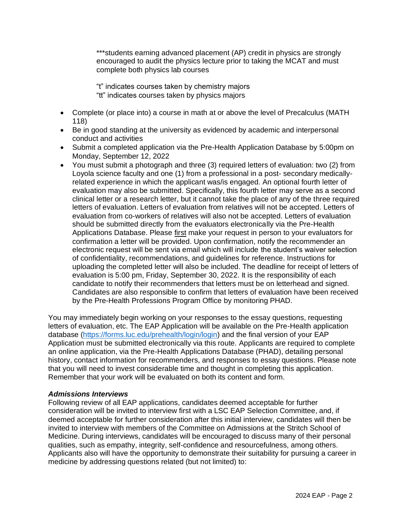\*\*\* students earning advanced placement (AP) credit in physics are strongly encouraged to audit the physics lecture prior to taking the MCAT and must complete both physics lab courses

"t" indicates courses taken by chemistry majors "tt" indicates courses taken by physics majors

- Complete (or place into) a course in math at or above the level of Precalculus (MATH 118)
- Be in good standing at the university as evidenced by academic and interpersonal conduct and activities
- Submit a completed application via the Pre-Health Application Database by 5:00pm on Monday, September 12, 2022
- You must submit a photograph and three (3) required letters of evaluation: two (2) from Loyola science faculty and one (1) from a professional in a post- secondary medicallyrelated experience in which the applicant was/is engaged. An optional fourth letter of evaluation may also be submitted. Specifically, this fourth letter may serve as a second clinical letter or a research letter, but it cannot take the place of any of the three required letters of evaluation. Letters of evaluation from relatives will not be accepted. Letters of evaluation from co-workers of relatives will also not be accepted. Letters of evaluation should be submitted directly from the evaluators electronically via the Pre-Health Applications Database. Please first make your request in person to your evaluators for confirmation a letter will be provided. Upon confirmation, notify the recommender an electronic request will be sent via email which will include the student's waiver selection of confidentiality, recommendations, and guidelines for reference. Instructions for uploading the completed letter will also be included. The deadline for receipt of letters of evaluation is 5:00 pm, Friday, September 30, 2022. It is the responsibility of each candidate to notify their recommenders that letters must be on letterhead and signed. Candidates are also responsible to confirm that letters of evaluation have been received by the Pre-Health Professions Program Office by monitoring PHAD.

You may immediately begin working on your responses to the essay questions, requesting letters of evaluation, etc. The EAP Application will be available on the Pre-Health application database [\(https://forms.luc.edu/prehealth/login/login\)](https://forms.luc.edu/prehealth/login/login) and the final version of your EAP Application must be submitted electronically via this route. Applicants are required to complete an online application, via the Pre-Health Applications Database (PHAD), detailing personal history, contact information for recommenders, and responses to essay questions. Please note that you will need to invest considerable time and thought in completing this application. Remember that your work will be evaluated on both its content and form.

## *Admissions Interviews*

Following review of all EAP applications, candidates deemed acceptable for further consideration will be invited to interview first with a LSC EAP Selection Committee, and, if deemed acceptable for further consideration after this initial interview, candidates will then be invited to interview with members of the Committee on Admissions at the Stritch School of Medicine. During interviews, candidates will be encouraged to discuss many of their personal qualities, such as empathy, integrity, self-confidence and resourcefulness, among others. Applicants also will have the opportunity to demonstrate their suitability for pursuing a career in medicine by addressing questions related (but not limited) to: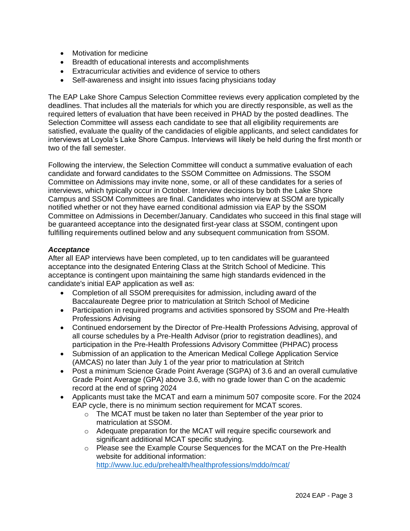- Motivation for medicine
- Breadth of educational interests and accomplishments
- Extracurricular activities and evidence of service to others
- Self-awareness and insight into issues facing physicians today

The EAP Lake Shore Campus Selection Committee reviews every application completed by the deadlines. That includes all the materials for which you are directly responsible, as well as the required letters of evaluation that have been received in PHAD by the posted deadlines. The Selection Committee will assess each candidate to see that all eligibility requirements are satisfied, evaluate the quality of the candidacies of eligible applicants, and select candidates for interviews at Loyola's Lake Shore Campus. Interviews will likely be held during the first month or two of the fall semester.

Following the interview, the Selection Committee will conduct a summative evaluation of each candidate and forward candidates to the SSOM Committee on Admissions. The SSOM Committee on Admissions may invite none, some, or all of these candidates for a series of interviews, which typically occur in October. Interview decisions by both the Lake Shore Campus and SSOM Committees are final. Candidates who interview at SSOM are typically notified whether or not they have earned conditional admission via EAP by the SSOM Committee on Admissions in December/January. Candidates who succeed in this final stage will be guaranteed acceptance into the designated first-year class at SSOM, contingent upon fulfilling requirements outlined below and any subsequent communication from SSOM.

## *Acceptance*

After all EAP interviews have been completed, up to ten candidates will be guaranteed acceptance into the designated Entering Class at the Stritch School of Medicine. This acceptance is contingent upon maintaining the same high standards evidenced in the candidate's initial EAP application as well as:

- Completion of all SSOM prerequisites for admission, including award of the Baccalaureate Degree prior to matriculation at Stritch School of Medicine
- Participation in required programs and activities sponsored by SSOM and Pre-Health Professions Advising
- Continued endorsement by the Director of Pre-Health Professions Advising, approval of all course schedules by a Pre-Health Advisor (prior to registration deadlines), and participation in the Pre-Health Professions Advisory Committee (PHPAC) process
- Submission of an application to the American Medical College Application Service (AMCAS) no later than July 1 of the year prior to matriculation at Stritch
- Post a minimum Science Grade Point Average (SGPA) of 3.6 and an overall cumulative Grade Point Average (GPA) above 3.6, with no grade lower than C on the academic record at the end of spring 2024
- Applicants must take the MCAT and earn a minimum 507 composite score. For the 2024 EAP cycle, there is no minimum section requirement for MCAT scores.
	- o The MCAT must be taken no later than September of the year prior to matriculation at SSOM.
	- o Adequate preparation for the MCAT will require specific coursework and significant additional MCAT specific studying.
	- o Please see the Example Course Sequences for the MCAT on the Pre-Health website for additional information[:](http://www.luc.edu/prehealth/healthprofessions/mddo/mcat/) <http://www.luc.edu/prehealth/healthprofessions/mddo/mcat/>